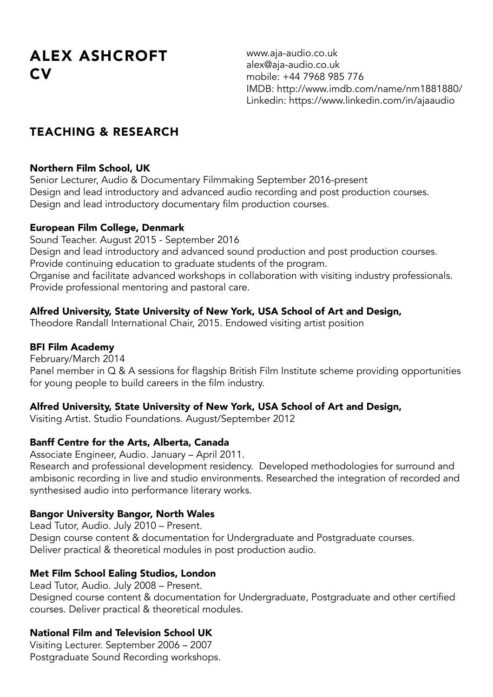# ALEX ASHCROFT CV

www.aja-audio.co.uk alex@aja-audio.co.uk mobile: +44 7968 985 776 IMDB: http://www.imdb.com/name/nm1881880/ Linkedin: https://www.linkedin.com/in/ajaaudio

## TEACHING & RESEARCH

## Northern Film School, UK

Senior Lecturer, Audio & Documentary Filmmaking September 2016-present Design and lead introductory and advanced audio recording and post production courses. Design and lead introductory documentary film production courses.

## European Film College, Denmark

Sound Teacher. August 2015 - September 2016 Design and lead introductory and advanced sound production and post production courses. Provide continuing education to graduate students of the program. Organise and facilitate advanced workshops in collaboration with visiting industry professionals. Provide professional mentoring and pastoral care.

## Alfred University, State University of New York, USA School of Art and Design,

Theodore Randall International Chair, 2015. Endowed visiting artist position

## BFI Film Academy

February/March 2014 Panel member in Q & A sessions for flagship British Film Institute scheme providing opportunities for young people to build careers in the film industry.

## Alfred University, State University of New York, USA School of Art and Design,

Visiting Artist. Studio Foundations. August/September 2012

## Banff Centre for the Arts, Alberta, Canada

Associate Engineer, Audio. January – April 2011. Research and professional development residency. Developed methodologies for surround and ambisonic recording in live and studio environments. Researched the integration of recorded and synthesised audio into performance literary works.

## Bangor University Bangor, North Wales

Lead Tutor, Audio. July 2010 – Present. Design course content & documentation for Undergraduate and Postgraduate courses. Deliver practical & theoretical modules in post production audio.

## Met Film School Ealing Studios, London

Lead Tutor, Audio. July 2008 – Present. Designed course content & documentation for Undergraduate, Postgraduate and other certified courses. Deliver practical & theoretical modules.

## National Film and Television School UK

Visiting Lecturer. September 2006 – 2007 Postgraduate Sound Recording workshops.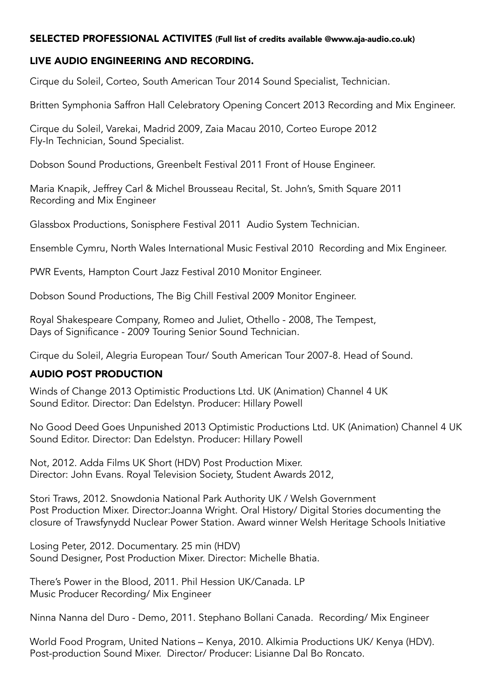#### SELECTED PROFESSIONAL ACTIVITES (Full list of credits available @www.aja-audio.co.uk)

#### LIVE AUDIO ENGINEERING AND RECORDING.

Cirque du Soleil, Corteo, South American Tour 2014 Sound Specialist, Technician.

Britten Symphonia Saffron Hall Celebratory Opening Concert 2013 Recording and Mix Engineer.

Cirque du Soleil, Varekai, Madrid 2009, Zaia Macau 2010, Corteo Europe 2012 Fly-In Technician, Sound Specialist.

Dobson Sound Productions, Greenbelt Festival 2011 Front of House Engineer.

Maria Knapik, Jeffrey Carl & Michel Brousseau Recital, St. John's, Smith Square 2011 Recording and Mix Engineer

Glassbox Productions, Sonisphere Festival 2011 Audio System Technician.

Ensemble Cymru, North Wales International Music Festival 2010 Recording and Mix Engineer.

PWR Events, Hampton Court Jazz Festival 2010 Monitor Engineer.

Dobson Sound Productions, The Big Chill Festival 2009 Monitor Engineer.

Royal Shakespeare Company, Romeo and Juliet, Othello - 2008, The Tempest, Days of Significance - 2009 Touring Senior Sound Technician.

Cirque du Soleil, Alegria European Tour/ South American Tour 2007-8. Head of Sound.

#### AUDIO POST PRODUCTION

Winds of Change 2013 Optimistic Productions Ltd. UK (Animation) Channel 4 UK Sound Editor. Director: Dan Edelstyn. Producer: Hillary Powell

No Good Deed Goes Unpunished 2013 Optimistic Productions Ltd. UK (Animation) Channel 4 UK Sound Editor. Director: Dan Edelstyn. Producer: Hillary Powell

Not, 2012. Adda Films UK Short (HDV) Post Production Mixer. Director: John Evans. Royal Television Society, Student Awards 2012,

Stori Traws, 2012. Snowdonia National Park Authority UK / Welsh Government Post Production Mixer. Director:Joanna Wright. Oral History/ Digital Stories documenting the closure of Trawsfynydd Nuclear Power Station. Award winner Welsh Heritage Schools Initiative

Losing Peter, 2012. Documentary. 25 min (HDV) Sound Designer, Post Production Mixer. Director: Michelle Bhatia.

There's Power in the Blood, 2011. Phil Hession UK/Canada. LP Music Producer Recording/ Mix Engineer

Ninna Nanna del Duro - Demo, 2011. Stephano Bollani Canada. Recording/ Mix Engineer

World Food Program, United Nations – Kenya, 2010. Alkimia Productions UK/ Kenya (HDV). Post-production Sound Mixer. Director/ Producer: Lisianne Dal Bo Roncato.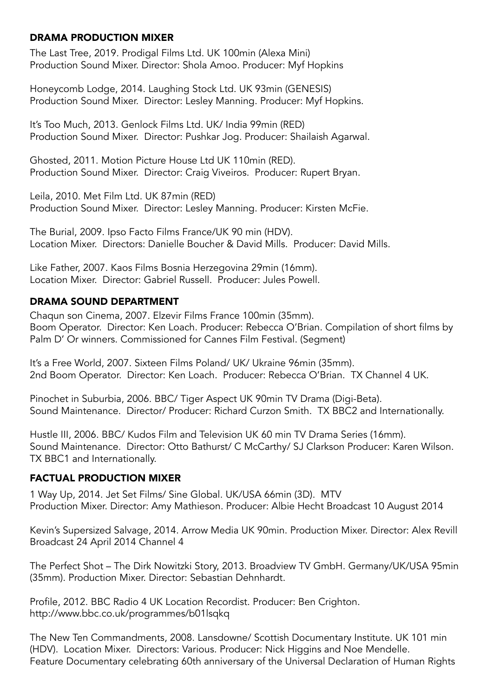#### DRAMA PRODUCTION MIXER

The Last Tree, 2019. Prodigal Films Ltd. UK 100min (Alexa Mini) Production Sound Mixer. Director: Shola Amoo. Producer: Myf Hopkins

Honeycomb Lodge, 2014. Laughing Stock Ltd. UK 93min (GENESIS) Production Sound Mixer. Director: Lesley Manning. Producer: Myf Hopkins.

It's Too Much, 2013. Genlock Films Ltd. UK/ India 99min (RED) Production Sound Mixer. Director: Pushkar Jog. Producer: Shailaish Agarwal.

Ghosted, 2011. Motion Picture House Ltd UK 110min (RED). Production Sound Mixer. Director: Craig Viveiros. Producer: Rupert Bryan.

Leila, 2010. Met Film Ltd. UK 87min (RED) Production Sound Mixer. Director: Lesley Manning. Producer: Kirsten McFie.

The Burial, 2009. Ipso Facto Films France/UK 90 min (HDV). Location Mixer. Directors: Danielle Boucher & David Mills. Producer: David Mills.

Like Father, 2007. Kaos Films Bosnia Herzegovina 29min (16mm). Location Mixer. Director: Gabriel Russell. Producer: Jules Powell.

#### DRAMA SOUND DEPARTMENT

Chaqun son Cinema, 2007. Elzevir Films France 100min (35mm). Boom Operator. Director: Ken Loach. Producer: Rebecca O'Brian. Compilation of short films by Palm D' Or winners. Commissioned for Cannes Film Festival. (Segment)

It's a Free World, 2007. Sixteen Films Poland/ UK/ Ukraine 96min (35mm). 2nd Boom Operator. Director: Ken Loach. Producer: Rebecca O'Brian. TX Channel 4 UK.

Pinochet in Suburbia, 2006. BBC/ Tiger Aspect UK 90min TV Drama (Digi-Beta). Sound Maintenance. Director/ Producer: Richard Curzon Smith. TX BBC2 and Internationally.

Hustle III, 2006. BBC/ Kudos Film and Television UK 60 min TV Drama Series (16mm). Sound Maintenance. Director: Otto Bathurst/ C McCarthy/ SJ Clarkson Producer: Karen Wilson. TX BBC1 and Internationally.

#### FACTUAL PRODUCTION MIXER

1 Way Up, 2014. Jet Set Films/ Sine Global. UK/USA 66min (3D). MTV Production Mixer. Director: Amy Mathieson. Producer: Albie Hecht Broadcast 10 August 2014

Kevin's Supersized Salvage, 2014. Arrow Media UK 90min. Production Mixer. Director: Alex Revill Broadcast 24 April 2014 Channel 4

The Perfect Shot – The Dirk Nowitzki Story, 2013. Broadview TV GmbH. Germany/UK/USA 95min (35mm). Production Mixer. Director: Sebastian Dehnhardt.

Profile, 2012. BBC Radio 4 UK Location Recordist. Producer: Ben Crighton. http://www.bbc.co.uk/programmes/b01lsqkq

The New Ten Commandments, 2008. Lansdowne/ Scottish Documentary Institute. UK 101 min (HDV). Location Mixer. Directors: Various. Producer: Nick Higgins and Noe Mendelle. Feature Documentary celebrating 60th anniversary of the Universal Declaration of Human Rights